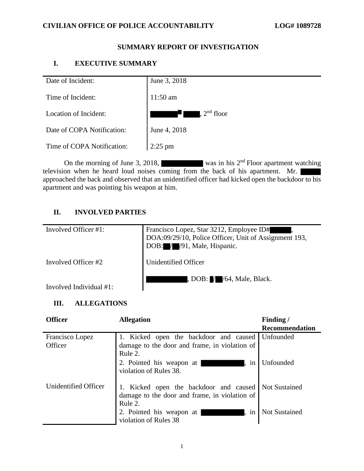# **SUMMARY REPORT OF INVESTIGATION**

# **I. EXECUTIVE SUMMARY**

| Date of Incident:          | June 3, 2018                         |
|----------------------------|--------------------------------------|
| Time of Incident:          | $11:50$ am                           |
| Location of Incident:      | $\mathsf{R}$ . $2^{\text{nd}}$ floor |
| Date of COPA Notification: | June 4, 2018                         |
| Time of COPA Notification: | $2:25$ pm                            |

On the morning of June 3, 2018, was in his  $2<sup>nd</sup>$  Floor apartment watching television when he heard loud noises coming from the back of his apartment. Mr. approached the back and observed that an unidentified officer had kicked open the backdoor to his apartment and was pointing his weapon at him.

# **II. INVOLVED PARTIES**

| Involved Officer #1:    | Francisco Lopez, Star 3212, Employee ID#<br>DOA:09/29/10, Police Officer, Unit of Assignment 193,<br>DOB: / / / 91, Male, Hispanic. |
|-------------------------|-------------------------------------------------------------------------------------------------------------------------------------|
| Involved Officer #2     | Unidentified Officer                                                                                                                |
| Involved Individual #1: | $\Box$ , DOB: $\Box$ / / 64, Male, Black.                                                                                           |

# **III. ALLEGATIONS**

| <b>Officer</b>             | <b>Allegation</b>                                                                                                | Finding/              |
|----------------------------|------------------------------------------------------------------------------------------------------------------|-----------------------|
|                            |                                                                                                                  | <b>Recommendation</b> |
| Francisco Lopez<br>Officer | 1. Kicked open the backdoor and caused<br>damage to the door and frame, in violation of<br>Rule 2.               | Unfounded             |
|                            | 2. Pointed his weapon at<br>in<br>violation of Rules 38.                                                         | Unfounded             |
| Unidentified Officer       | 1. Kicked open the backdoor and caused Not Sustained<br>damage to the door and frame, in violation of<br>Rule 2. |                       |
|                            | 2. Pointed his weapon at<br>in<br>violation of Rules 38                                                          | <b>Not Sustained</b>  |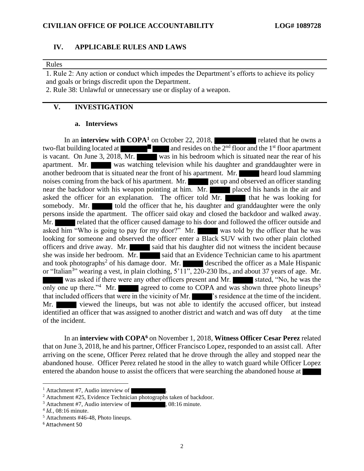### **IV. APPLICABLE RULES AND LAWS**

#### Rules

1. Rule 2: Any action or conduct which impedes the Department's efforts to achieve its policy and goals or brings discredit upon the Department.

2. Rule 38: Unlawful or unnecessary use or display of a weapon.

## **V. INVESTIGATION**

#### **a. Interviews**

In an **interview with COPA<sup>1</sup>** on October 22, 2018, related that he owns a two-flat building located at  $\blacksquare$  and resides on the  $2<sup>nd</sup>$  floor and the 1<sup>st</sup> floor apartment is vacant. On June 3, 2018, Mr. was in his bedroom which is situated near the rear of his apartment. Mr. was watching television while his daughter and granddaughter were in another bedroom that is situated near the front of his apartment. Mr. heard loud slamming noises coming from the back of his apartment. Mr. got up and observed an officer standing near the backdoor with his weapon pointing at him. Mr. placed his hands in the air and asked the officer for an explanation. The officer told  $\overline{Mr}$ . that he was looking for somebody. Mr. told the officer that he, his daughter and granddaughter were the only persons inside the apartment. The officer said okay and closed the backdoor and walked away. Mr. **Related that the officer caused damage to his door and followed the officer outside and** asked him "Who is going to pay for my door?" Mr. looking for someone and observed the officer enter a Black SUV with two other plain clothed officers and drive away. Mr. said that his daughter did not witness the incident because she was inside her bedroom. Mr. said that an Evidence Technician came to his apartment and took photographs<sup>2</sup> of his damage door. Mr. described the officer as a Male Hispanic or "Italian<sup>3</sup>" wearing a vest, in plain clothing,  $5'11''$ ,  $220$ - $230$  lbs., and about 37 years of age. Mr. was asked if there were any other officers present and Mr. stated, "No, he was the only one up there."<sup>4</sup> Mr. agreed to come to COPA and was shown three photo lineups<sup>5</sup> that included officers that were in the vicinity of Mr.  $\blacksquare$  's residence at the time of the incident. Mr. viewed the lineups, but was not able to identify the accused officer, but instead identified an officer that was assigned to another district and watch and was off duty at the time of the incident.

In an **interview with COPA<sup>6</sup>** on November 1, 2018, **Witness Officer Cesar Perez** related that on June 3, 2018, he and his partner, Officer Francisco Lopez, responded to an assist call. After arriving on the scene, Officer Perez related that he drove through the alley and stopped near the abandoned house. Officer Perez related he stood in the alley to watch guard while Officer Lopez entered the abandon house to assist the officers that were searching the abandoned house at

 $<sup>1</sup>$  Attachment #7, Audio interview of</sup>

<sup>&</sup>lt;sup>2</sup> Attachment #25, Evidence Technician photographs taken of backdoor.

 $3$  Attachment #7, Audio interview of  $\overline{\phantom{a}}$ , 08:16 minute.

<sup>4</sup> *Id.*, 08:16 minute.

<sup>5</sup> Attachments #46-48, Photo lineups.

<sup>6</sup> Attachment 50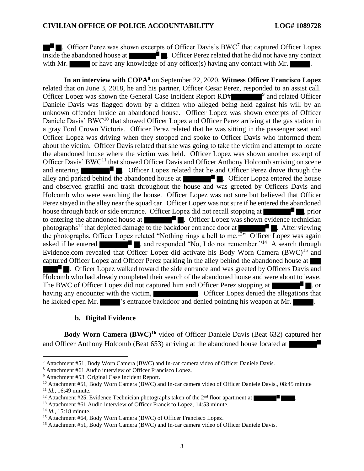. Officer Perez was shown excerpts of Officer Davis's BWC<sup>7</sup> that captured Officer Lopez inside the abandoned house at . Officer Perez related that he did not have any contact with Mr. or have any knowledge of any officer(s) having any contact with Mr.

**In an interview with COPA<sup>8</sup>** on September 22, 2020, **Witness Officer Francisco Lopez** related that on June 3, 2018, he and his partner, Officer Cesar Perez, responded to an assist call. Officer Lopez was shown the General Case Incident Report  $RD#$   $\qquad$ <sup>9</sup> and related Officer Daniele Davis was flagged down by a citizen who alleged being held against his will by an unknown offender inside an abandoned house. Officer Lopez was shown excerpts of Officer Daniele Davis' BWC<sup>10</sup> that showed Officer Lopez and Officer Perez arriving at the gas station in a gray Ford Crown Victoria. Officer Perez related that he was sitting in the passenger seat and Officer Lopez was driving when they stopped and spoke to Officer Davis who informed them about the victim. Officer Davis related that she was going to take the victim and attempt to locate the abandoned house where the victim was held. Officer Lopez was shown another excerpt of Officer Davis' BWC<sup>11</sup> that showed Officer Davis and Officer Anthony Holcomb arriving on scene and entering **and enteriorm**. Officer Lopez related that he and Officer Perez drove through the alley and parked behind the abandoned house at  $\blacksquare$ . Officer Lopez entered the house and observed graffiti and trash throughout the house and was greeted by Officers Davis and Holcomb who were searching the house. Officer Lopez was not sure but believed that Officer Perez stayed in the alley near the squad car. Officer Lopez was not sure if he entered the abandoned house through back or side entrance. Officer Lopez did not recall stopping at  $\blacksquare$ , prior to entering the abandoned house at  $\blacksquare$ . Officer Lopez was shown evidence technician photographs<sup>12</sup> that depicted damage to the backdoor entrance door at  $\blacksquare$ . After viewing the photographs, Officer Lopez related "Nothing rings a bell to me.<sup>13</sup>" Officer Lopez was again asked if he entered  $\blacksquare$ , and responded "No, I do not remember."<sup>14</sup> A search through Evidence.com revealed that Officer Lopez did activate his Body Worn Camera (BWC)<sup>15</sup> and captured Officer Lopez and Officer Perez parking in the alley behind the abandoned house at  $\blacksquare$ . Officer Lopez walked toward the side entrance and was greeted by Officers Davis and Holcomb who had already completed their search of the abandoned house and were about to leave. The BWC of Officer Lopez did not captured him and Officer Perez stopping at  $\blacksquare$ . or having any encounter with the victim, **Exercise 2.** Officer Lopez denied the allegations that he kicked open Mr.  $\blacksquare$ 's entrance backdoor and denied pointing his weapon at Mr.

### **b. Digital Evidence**

**Body Worn Camera (BWC)<sup>16</sup>** video of Officer Daniele Davis (Beat 632) captured her and Officer Anthony Holcomb (Beat 653) arriving at the abandoned house located at

<sup>9</sup> Attachment #53, Original Case Incident Report.

<sup>7</sup> Attachment #51, Body Worn Camera (BWC) and In-car camera video of Officer Daniele Davis.

<sup>8</sup> Attachment #61 Audio interview of Officer Francisco Lopez.

<sup>&</sup>lt;sup>10</sup> Attachment #51, Body Worn Camera (BWC) and In-car camera video of Officer Daniele Davis., 08:45 minute <sup>11</sup> *Id.,* 16:49 minute.

<sup>&</sup>lt;sup>12</sup> Attachment #25, Evidence Technician photographs taken of the  $2<sup>nd</sup>$  floor apartment at

<sup>&</sup>lt;sup>13</sup> Attachment #61 Audio interview of Officer Francisco Lopez, 14:53 minute.

<sup>14</sup> *Id.,* 15:18 minute.

<sup>&</sup>lt;sup>15</sup> Attachment #64, Body Worn Camera (BWC) of Officer Francisco Lopez.

<sup>&</sup>lt;sup>16</sup> Attachment #51, Body Worn Camera (BWC) and In-car camera video of Officer Daniele Davis.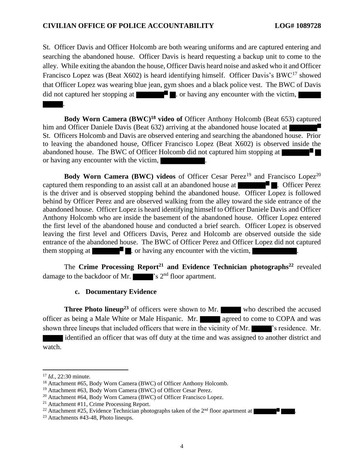### **CIVILIAN OFFICE OF POLICE ACCOUNTABILITY LOG# 1089728**

St. Officer Davis and Officer Holcomb are both wearing uniforms and are captured entering and searching the abandoned house. Officer Davis is heard requesting a backup unit to come to the alley. While exiting the abandon the house, Officer Davis heard noise and asked who it and Officer Francisco Lopez was (Beat X602) is heard identifying himself. Officer Davis's BWC<sup>17</sup> showed that Officer Lopez was wearing blue jean, gym shoes and a black police vest. The BWC of Davis did not captured her stopping at . or having any encounter with the victim, .

**Body Worn Camera (BWC)<sup>18</sup> video of** Officer Anthony Holcomb (Beat 653) captured him and Officer Daniele Davis (Beat 632) arriving at the abandoned house located at St. Officers Holcomb and Davis are observed entering and searching the abandoned house. Prior to leaving the abandoned house, Officer Francisco Lopez (Beat X602) is observed inside the abandoned house. The BWC of Officer Holcomb did not captured him stopping at or having any encounter with the victim,

**Body Worn Camera (BWC) videos** of Officer Cesar Perez<sup>19</sup> and Francisco Lopez<sup>20</sup> captured them responding to an assist call at an abandoned house at  $\blacksquare$ . Officer Perez is the driver and is observed stopping behind the abandoned house. Officer Lopez is followed behind by Officer Perez and are observed walking from the alley toward the side entrance of the abandoned house. Officer Lopez is heard identifying himself to Officer Daniele Davis and Officer Anthony Holcomb who are inside the basement of the abandoned house. Officer Lopez entered the first level of the abandoned house and conducted a brief search. Officer Lopez is observed leaving the first level and Officers Davis, Perez and Holcomb are observed outside the side entrance of the abandoned house. The BWC of Officer Perez and Officer Lopez did not captured them stopping at  $\blacksquare$ . or having any encounter with the victim,

The **Crime Processing Report<sup>21</sup> and Evidence Technician photographs<sup>22</sup>** revealed damage to the backdoor of Mr.  $\blacksquare$ 's 2<sup>nd</sup> floor apartment.

#### **c. Documentary Evidence**

**Three Photo lineup<sup>23</sup>** of officers were shown to Mr. who described the accused officer as being a Male White or Male Hispanic. Mr. **agreed to come to COPA** and was shown three lineups that included officers that were in the vicinity of Mr.  $\blacksquare$  's residence. Mr.

 identified an officer that was off duty at the time and was assigned to another district and watch.

<sup>17</sup> *Id.,* 22:30 minute.

<sup>&</sup>lt;sup>18</sup> Attachment #65, Body Worn Camera (BWC) of Officer Anthony Holcomb.

<sup>19</sup> Attachment #63, Body Worn Camera (BWC) of Officer Cesar Perez.

<sup>20</sup> Attachment #64, Body Worn Camera (BWC) of Officer Francisco Lopez.

<sup>21</sup> Attachment #11, Crime Processing Report.

<sup>&</sup>lt;sup>22</sup> Attachment #25, Evidence Technician photographs taken of the  $2<sup>nd</sup>$  floor apartment at  $\blacksquare$ .

<sup>23</sup> Attachments #43-48, Photo lineups.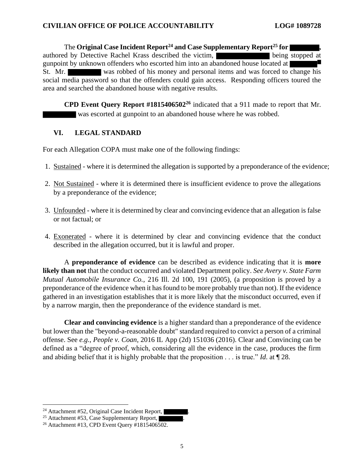The **Original Case Incident Report<sup>24</sup> and Case Supplementary Report<sup>25</sup> for ,**  authored by Detective Rachel Krass described the victim, being stopped at gunpoint by unknown offenders who escorted him into an abandoned house located at St. Mr. was robbed of his money and personal items and was forced to change his social media password so that the offenders could gain access. Responding officers toured the area and searched the abandoned house with negative results.

**CPD Event Query Report #1815406502<sup>26</sup>** indicated that a 911 made to report that Mr. was escorted at gunpoint to an abandoned house where he was robbed.

# **VI. LEGAL STANDARD**

For each Allegation COPA must make one of the following findings:

- 1. Sustained where it is determined the allegation is supported by a preponderance of the evidence;
- 2. Not Sustained where it is determined there is insufficient evidence to prove the allegations by a preponderance of the evidence;
- 3. Unfounded where it is determined by clear and convincing evidence that an allegation is false or not factual; or
- 4. Exonerated where it is determined by clear and convincing evidence that the conduct described in the allegation occurred, but it is lawful and proper.

A **preponderance of evidence** can be described as evidence indicating that it is **more likely than not** that the conduct occurred and violated Department policy. *See Avery v. State Farm Mutual Automobile Insurance Co.*, 216 Ill. 2d 100, 191 (2005), (a proposition is proved by a preponderance of the evidence when it has found to be more probably true than not). If the evidence gathered in an investigation establishes that it is more likely that the misconduct occurred, even if by a narrow margin, then the preponderance of the evidence standard is met.

**Clear and convincing evidence** is a higher standard than a preponderance of the evidence but lower than the "beyond-a-reasonable doubt" standard required to convict a person of a criminal offense. See *e.g.*, *People v. Coan*, 2016 IL App (2d) 151036 (2016). Clear and Convincing can be defined as a "degree of proof, which, considering all the evidence in the case, produces the firm and abiding belief that it is highly probable that the proposition . . . is true." *Id*. at ¶ 28.

<sup>&</sup>lt;sup>24</sup> Attachment #52, Original Case Incident Report,

<sup>&</sup>lt;sup>25</sup> Attachment #53, Case Supplementary Report,

<sup>&</sup>lt;sup>26</sup> Attachment #13, CPD Event Ouery #1815406502.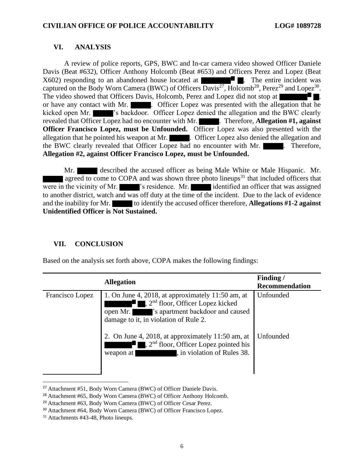# **VI. ANALYSIS**

A review of police reports, GPS, BWC and In-car camera video showed Officer Daniele Davis (Beat #632), Officer Anthony Holcomb (Beat #653) and Officers Perez and Lopez (Beat  $X602$ ) responding to an abandoned house located at  $\blacksquare$ . The entire incident was captured on the Body Worn Camera (BWC) of Officers Davis<sup>27</sup>, Holcomb<sup>28</sup>, Perez<sup>29</sup> and Lopez<sup>30</sup>. The video showed that Officers Davis, Holcomb, Perez and Lopez did not stop at  $\blacksquare$ or have any contact with Mr. **Example 20**. Officer Lopez was presented with the allegation that he kicked open Mr.  $\blacksquare$  's backdoor. Officer Lopez denied the allegation and the BWC clearly revealed that Officer Lopez had no encounter with Mr. **Therefore, Allegation #1, against Officer Francisco Lopez, must be Unfounded.** Officer Lopez was also presented with the allegation that he pointed his weapon at Mr. **. ... Officer Lopez** also denied the allegation and the BWC clearly revealed that Officer Lopez had no encounter with Mr.  $\blacksquare$ . Therefore, **Allegation #2, against Officer Francisco Lopez, must be Unfounded.** 

Mr. **described the accused officer as being Male White or Male Hispanic.** Mr. agreed to come to COPA and was shown three photo lineups<sup>31</sup> that included officers that were in the vicinity of Mr.  $\blacksquare$  's residence. Mr. identified an officer that was assigned to another district, watch and was off duty at the time of the incident. Due to the lack of evidence and the inability for Mr. to identify the accused officer therefore, **Allegations** #1-2 **against Unidentified Officer is Not Sustained.** 

# **VII. CONCLUSION**

Based on the analysis set forth above, COPA makes the following findings:

| <b>Allegation</b> |                                                                                                                                                                                                                                                                                                                                                                                                                   | Finding/<br><b>Recommendation</b> |
|-------------------|-------------------------------------------------------------------------------------------------------------------------------------------------------------------------------------------------------------------------------------------------------------------------------------------------------------------------------------------------------------------------------------------------------------------|-----------------------------------|
| Francisco Lopez   | 1. On June 4, 2018, at approximately $11:50$ am, at<br>$\blacksquare$ , 2 <sup>nd</sup> floor, Officer Lopez kicked<br>ana ang pagpagang pag<br>'s apartment backdoor and caused<br>open Mr.<br>damage to it, in violation of Rule 2.<br>2. On June 4, 2018, at approximately 11:50 am, at<br>$\blacksquare$ , 2 <sup>nd</sup> floor, Officer Lopez pointed his<br>ρŗ<br>, in violation of Rules 38.<br>weapon at | Unfounded<br>Unfounded            |

<sup>27</sup> Attachment #51, Body Worn Camera (BWC) of Officer Daniele Davis.

<sup>28</sup> Attachment #65, Body Worn Camera (BWC) of Officer Anthony Holcomb.

<sup>29</sup> Attachment #63, Body Worn Camera (BWC) of Officer Cesar Perez.

<sup>30</sup> Attachment #64, Body Worn Camera (BWC) of Officer Francisco Lopez.

<sup>&</sup>lt;sup>31</sup> Attachments #43-48. Photo lineups.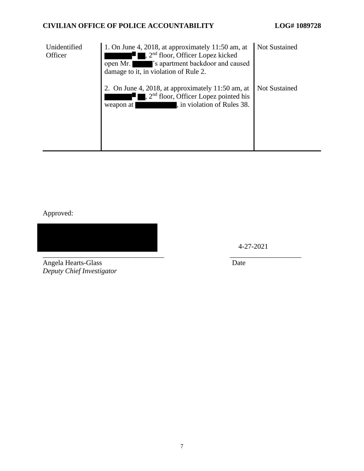# **CIVILIAN OFFICE OF POLICE ACCOUNTABILITY LOG# 1089728**

| Unidentified<br>Officer | 1. On June 4, 2018, at approximately $11:50$ am, at<br>$2nd$ floor, Officer Lopez kicked<br>'s apartment backdoor and caused<br>open Mr.<br>damage to it, in violation of Rule 2. | <b>Not Sustained</b> |
|-------------------------|-----------------------------------------------------------------------------------------------------------------------------------------------------------------------------------|----------------------|
|                         | On June 4, 2018, at approximately 11:50 am, at<br>$\Box$ , $2nd$ floor, Officer Lopez pointed his<br>, in violation of Rules 38.<br>weapon at                                     | <b>Not Sustained</b> |

Approved:

 $\overline{\phantom{a}}$  , and the contract of the contract of the contract of the contract of the contract of the contract of the contract of the contract of the contract of the contract of the contract of the contract of the contrac

4-27-2021

Angela Hearts-Glass Date *Deputy Chief Investigator*